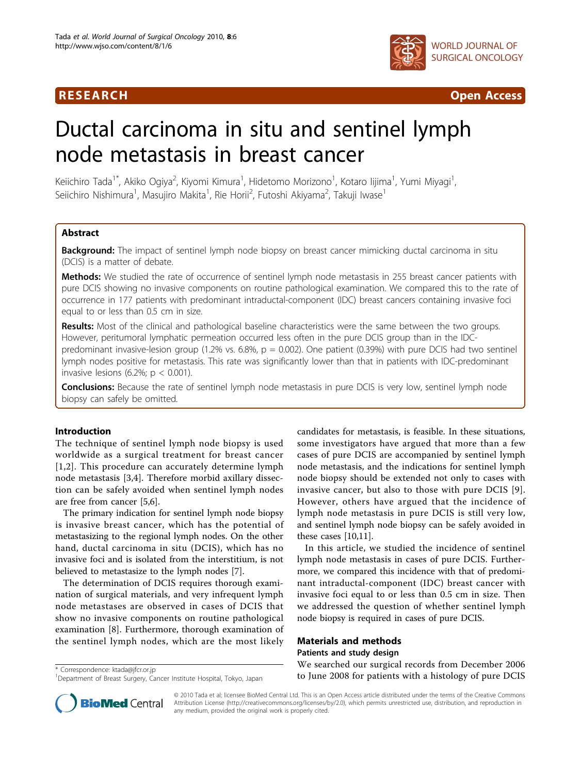

**RESEARCH Open Access Contract Contract Contract Contract Contract Contract Contract Contract Contract Contract Contract Contract Contract Contract Contract Contract Contract Contract Contract Contract Contract Contract** 

# Ductal carcinoma in situ and sentinel lymph node metastasis in breast cancer

Keiichiro Tada<sup>1\*</sup>, Akiko Ogiya<sup>2</sup>, Kiyomi Kimura<sup>1</sup>, Hidetomo Morizono<sup>1</sup>, Kotaro lijima<sup>1</sup>, Yumi Miyagi<sup>1</sup> , Seiichiro Nishimura<sup>1</sup>, Masujiro Makita<sup>1</sup>, Rie Horii<sup>2</sup>, Futoshi Akiyama<sup>2</sup>, Takuji Iwase<sup>1</sup>

# **Abstract**

Background: The impact of sentinel lymph node biopsy on breast cancer mimicking ductal carcinoma in situ (DCIS) is a matter of debate.

Methods: We studied the rate of occurrence of sentinel lymph node metastasis in 255 breast cancer patients with pure DCIS showing no invasive components on routine pathological examination. We compared this to the rate of occurrence in 177 patients with predominant intraductal-component (IDC) breast cancers containing invasive foci equal to or less than 0.5 cm in size.

Results: Most of the clinical and pathological baseline characteristics were the same between the two groups. However, peritumoral lymphatic permeation occurred less often in the pure DCIS group than in the IDCpredominant invasive-lesion group (1.2% vs. 6.8%,  $p = 0.002$ ). One patient (0.39%) with pure DCIS had two sentinel lymph nodes positive for metastasis. This rate was significantly lower than that in patients with IDC-predominant invasive lesions (6.2%;  $p < 0.001$ ).

**Conclusions:** Because the rate of sentinel lymph node metastasis in pure DCIS is very low, sentinel lymph node biopsy can safely be omitted.

# Introduction

The technique of sentinel lymph node biopsy is used worldwide as a surgical treatment for breast cancer [[1](#page-3-0),[2\]](#page-3-0). This procedure can accurately determine lymph node metastasis [[3,4\]](#page-3-0). Therefore morbid axillary dissection can be safely avoided when sentinel lymph nodes are free from cancer [[5,6\]](#page-3-0).

The primary indication for sentinel lymph node biopsy is invasive breast cancer, which has the potential of metastasizing to the regional lymph nodes. On the other hand, ductal carcinoma in situ (DCIS), which has no invasive foci and is isolated from the interstitium, is not believed to metastasize to the lymph nodes [\[7](#page-3-0)].

The determination of DCIS requires thorough examination of surgical materials, and very infrequent lymph node metastases are observed in cases of DCIS that show no invasive components on routine pathological examination [\[8](#page-3-0)]. Furthermore, thorough examination of the sentinel lymph nodes, which are the most likely

candidates for metastasis, is feasible. In these situations, some investigators have argued that more than a few cases of pure DCIS are accompanied by sentinel lymph node metastasis, and the indications for sentinel lymph node biopsy should be extended not only to cases with invasive cancer, but also to those with pure DCIS [[9](#page-3-0)]. However, others have argued that the incidence of lymph node metastasis in pure DCIS is still very low, and sentinel lymph node biopsy can be safely avoided in these cases [[10,11\]](#page-4-0).

In this article, we studied the incidence of sentinel lymph node metastasis in cases of pure DCIS. Furthermore, we compared this incidence with that of predominant intraductal-component (IDC) breast cancer with invasive foci equal to or less than 0.5 cm in size. Then we addressed the question of whether sentinel lymph node biopsy is required in cases of pure DCIS.

# Materials and methods Patients and study design

We searched our surgical records from December 2006 to June 2008 for patients with a histology of pure DCIS<br>To June 2008 for patients with a histology of pure DCIS<sup>1</sup> Department of Breast Surgery Cancer Institute Hospital Tokyo Japan



© 2010 Tada et al; licensee BioMed Central Ltd. This is an Open Access article distributed under the terms of the Creative Commons Attribution License [\(http://creativecommons.org/licenses/by/2.0](http://creativecommons.org/licenses/by/2.0)), which permits unrestricted use, distribution, and reproduction in any medium, provided the original work is properly cited.

<sup>&</sup>lt;sup>1</sup>Department of Breast Surgery, Cancer Institute Hospital, Tokyo, Japan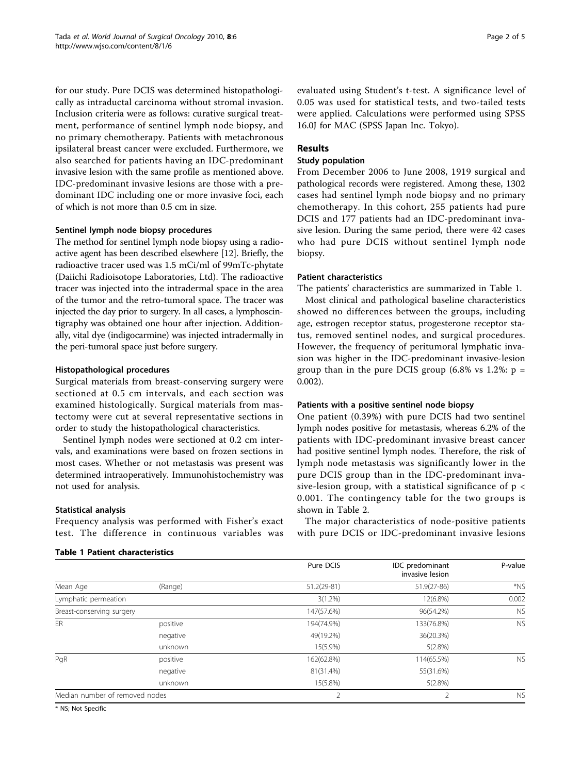for our study. Pure DCIS was determined histopathologically as intraductal carcinoma without stromal invasion. Inclusion criteria were as follows: curative surgical treatment, performance of sentinel lymph node biopsy, and no primary chemotherapy. Patients with metachronous ipsilateral breast cancer were excluded. Furthermore, we also searched for patients having an IDC-predominant invasive lesion with the same profile as mentioned above. IDC-predominant invasive lesions are those with a predominant IDC including one or more invasive foci, each of which is not more than 0.5 cm in size.

#### Sentinel lymph node biopsy procedures

The method for sentinel lymph node biopsy using a radioactive agent has been described elsewhere [[12](#page-4-0)]. Briefly, the radioactive tracer used was 1.5 mCi/ml of 99mTc-phytate (Daiichi Radioisotope Laboratories, Ltd). The radioactive tracer was injected into the intradermal space in the area of the tumor and the retro-tumoral space. The tracer was injected the day prior to surgery. In all cases, a lymphoscintigraphy was obtained one hour after injection. Additionally, vital dye (indigocarmine) was injected intradermally in the peri-tumoral space just before surgery.

#### Histopathological procedures

Surgical materials from breast-conserving surgery were sectioned at 0.5 cm intervals, and each section was examined histologically. Surgical materials from mastectomy were cut at several representative sections in order to study the histopathological characteristics.

Sentinel lymph nodes were sectioned at 0.2 cm intervals, and examinations were based on frozen sections in most cases. Whether or not metastasis was present was determined intraoperatively. Immunohistochemistry was not used for analysis.

#### Statistical analysis

Frequency analysis was performed with Fisher's exact test. The difference in continuous variables was

#### Table 1 Patient characteristics

evaluated using Student's t-test. A significance level of 0.05 was used for statistical tests, and two-tailed tests were applied. Calculations were performed using SPSS 16.0J for MAC (SPSS Japan Inc. Tokyo).

# Results

# Study population

From December 2006 to June 2008, 1919 surgical and pathological records were registered. Among these, 1302 cases had sentinel lymph node biopsy and no primary chemotherapy. In this cohort, 255 patients had pure DCIS and 177 patients had an IDC-predominant invasive lesion. During the same period, there were 42 cases who had pure DCIS without sentinel lymph node biopsy.

#### Patient characteristics

The patients' characteristics are summarized in Table 1.

Most clinical and pathological baseline characteristics showed no differences between the groups, including age, estrogen receptor status, progesterone receptor status, removed sentinel nodes, and surgical procedures. However, the frequency of peritumoral lymphatic invasion was higher in the IDC-predominant invasive-lesion group than in the pure DCIS group  $(6.8\% \text{ vs } 1.2\% \text{ : } p =$ 0.002).

#### Patients with a positive sentinel node biopsy

One patient (0.39%) with pure DCIS had two sentinel lymph nodes positive for metastasis, whereas 6.2% of the patients with IDC-predominant invasive breast cancer had positive sentinel lymph nodes. Therefore, the risk of lymph node metastasis was significantly lower in the pure DCIS group than in the IDC-predominant invasive-lesion group, with a statistical significance of p < 0.001. The contingency table for the two groups is shown in Table [2](#page-2-0).

The major characteristics of node-positive patients with pure DCIS or IDC-predominant invasive lesions

|                                |          | Pure DCIS   | IDC predominant<br>invasive lesion | P-value   |
|--------------------------------|----------|-------------|------------------------------------|-----------|
| Mean Age                       | (Range)  | 51.2(29-81) | 51.9(27-86)                        | *NS       |
| Lymphatic permeation           |          | $3(1.2\%)$  | 12(6.8%)                           | 0.002     |
| Breast-conserving surgery      |          | 147(57.6%)  | 96(54.2%)                          | <b>NS</b> |
| ER                             | positive | 194(74.9%)  | 133(76.8%)                         | <b>NS</b> |
|                                | negative | 49(19.2%)   | 36(20.3%)                          |           |
|                                | unknown  | 15(5.9%)    | 5(2.8%)                            |           |
| PqR                            | positive | 162(62.8%)  | 114(65.5%)                         | <b>NS</b> |
|                                | negative | 81(31.4%)   | 55(31.6%)                          |           |
|                                | unknown  | 15(5.8%)    | $5(2.8\%)$                         |           |
| Median number of removed nodes |          | 2           | $\mathcal{P}$                      | <b>NS</b> |

\* NS; Not Specific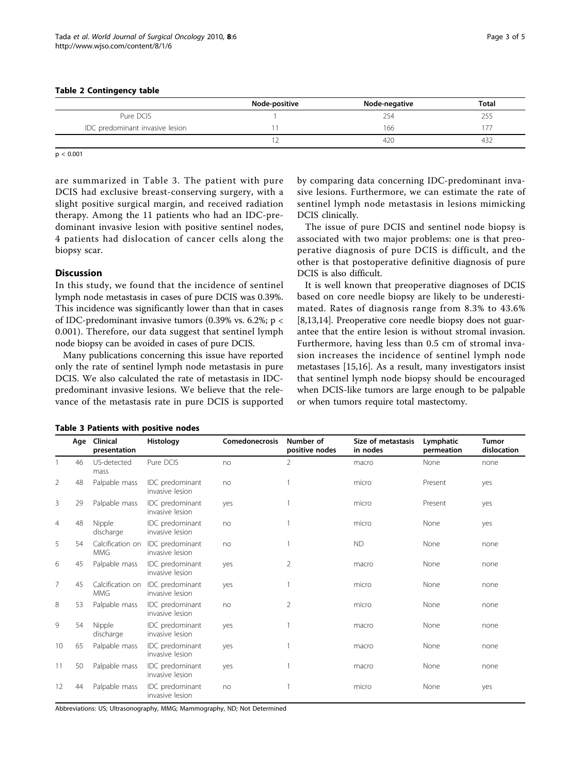#### <span id="page-2-0"></span>Table 2 Contingency table

|                                 | Node-positive | Node-negative | <b>Total</b> |
|---------------------------------|---------------|---------------|--------------|
| Pure DCIS                       |               | 254           |              |
| IDC predominant invasive lesion |               | 166           |              |
|                                 |               | 420           | 43∠          |

 $p < 0.001$ 

are summarized in Table 3. The patient with pure DCIS had exclusive breast-conserving surgery, with a slight positive surgical margin, and received radiation therapy. Among the 11 patients who had an IDC-predominant invasive lesion with positive sentinel nodes, 4 patients had dislocation of cancer cells along the biopsy scar.

# **Discussion**

In this study, we found that the incidence of sentinel lymph node metastasis in cases of pure DCIS was 0.39%. This incidence was significantly lower than that in cases of IDC-predominant invasive tumors (0.39% vs. 6.2%; p < 0.001). Therefore, our data suggest that sentinel lymph node biopsy can be avoided in cases of pure DCIS.

Many publications concerning this issue have reported only the rate of sentinel lymph node metastasis in pure DCIS. We also calculated the rate of metastasis in IDCpredominant invasive lesions. We believe that the relevance of the metastasis rate in pure DCIS is supported by comparing data concerning IDC-predominant invasive lesions. Furthermore, we can estimate the rate of sentinel lymph node metastasis in lesions mimicking DCIS clinically.

The issue of pure DCIS and sentinel node biopsy is associated with two major problems: one is that preoperative diagnosis of pure DCIS is difficult, and the other is that postoperative definitive diagnosis of pure DCIS is also difficult.

It is well known that preoperative diagnoses of DCIS based on core needle biopsy are likely to be underestimated. Rates of diagnosis range from 8.3% to 43.6% [[8,](#page-3-0)[13,14\]](#page-4-0). Preoperative core needle biopsy does not guarantee that the entire lesion is without stromal invasion. Furthermore, having less than 0.5 cm of stromal invasion increases the incidence of sentinel lymph node metastases [[15,16](#page-4-0)]. As a result, many investigators insist that sentinel lymph node biopsy should be encouraged when DCIS-like tumors are large enough to be palpable or when tumors require total mastectomy.

|                | Age | Clinical<br>presentation       | <b>Histology</b>                   | Comedonecrosis | Number of<br>positive nodes | Size of metastasis<br>in nodes | Lymphatic<br>permeation | <b>Tumor</b><br>dislocation |
|----------------|-----|--------------------------------|------------------------------------|----------------|-----------------------------|--------------------------------|-------------------------|-----------------------------|
|                | 46  | US-detected<br>mass            | Pure DCIS                          | no             | 2                           | macro                          | None                    | none                        |
| 2              | 48  | Palpable mass                  | IDC predominant<br>invasive lesion | no             |                             | micro                          | Present                 | yes                         |
| 3              | 29  | Palpable mass                  | IDC predominant<br>invasive lesion | yes            |                             | micro                          | Present                 | yes                         |
| $\overline{4}$ | 48  | Nipple<br>discharge            | IDC predominant<br>invasive lesion | no             |                             | micro                          | None                    | yes                         |
| 5              | 54  | Calcification on<br><b>MMG</b> | IDC predominant<br>invasive lesion | no             |                             | <b>ND</b>                      | None                    | none                        |
| 6              | 45  | Palpable mass                  | IDC predominant<br>invasive lesion | yes            | 2                           | macro                          | None                    | none                        |
| $\overline{7}$ | 45  | Calcification on<br><b>MMG</b> | IDC predominant<br>invasive lesion | yes            |                             | micro                          | None                    | none                        |
| 8              | 53  | Palpable mass                  | IDC predominant<br>invasive lesion | no             | $\overline{2}$              | micro                          | None                    | none                        |
| 9              | 54  | Nipple<br>discharge            | IDC predominant<br>invasive lesion | yes            |                             | macro                          | None                    | none                        |
| 10             | 65  | Palpable mass                  | IDC predominant<br>invasive lesion | yes            |                             | macro                          | None                    | none                        |
| 11             | 50  | Palpable mass                  | IDC predominant<br>invasive lesion | yes            |                             | macro                          | None                    | none                        |
| 12             | 44  | Palpable mass                  | IDC predominant<br>invasive lesion | no             |                             | micro                          | None                    | yes                         |

Table 3 Patients with positive nodes

Abbreviations: US; Ultrasonography, MMG; Mammography, ND; Not Determined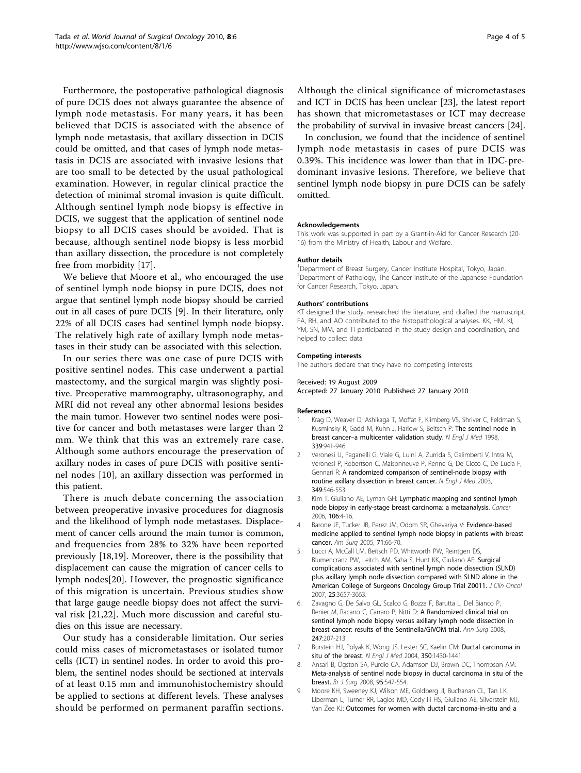<span id="page-3-0"></span>Furthermore, the postoperative pathological diagnosis of pure DCIS does not always guarantee the absence of lymph node metastasis. For many years, it has been believed that DCIS is associated with the absence of lymph node metastasis, that axillary dissection in DCIS could be omitted, and that cases of lymph node metastasis in DCIS are associated with invasive lesions that are too small to be detected by the usual pathological examination. However, in regular clinical practice the detection of minimal stromal invasion is quite difficult. Although sentinel lymph node biopsy is effective in DCIS, we suggest that the application of sentinel node biopsy to all DCIS cases should be avoided. That is because, although sentinel node biopsy is less morbid than axillary dissection, the procedure is not completely free from morbidity [\[17](#page-4-0)].

We believe that Moore et al., who encouraged the use of sentinel lymph node biopsy in pure DCIS, does not argue that sentinel lymph node biopsy should be carried out in all cases of pure DCIS [9]. In their literature, only 22% of all DCIS cases had sentinel lymph node biopsy. The relatively high rate of axillary lymph node metastases in their study can be associated with this selection.

In our series there was one case of pure DCIS with positive sentinel nodes. This case underwent a partial mastectomy, and the surgical margin was slightly positive. Preoperative mammography, ultrasonography, and MRI did not reveal any other abnormal lesions besides the main tumor. However two sentinel nodes were positive for cancer and both metastases were larger than 2 mm. We think that this was an extremely rare case. Although some authors encourage the preservation of axillary nodes in cases of pure DCIS with positive sentinel nodes [\[10](#page-4-0)], an axillary dissection was performed in this patient.

There is much debate concerning the association between preoperative invasive procedures for diagnosis and the likelihood of lymph node metastases. Displacement of cancer cells around the main tumor is common, and frequencies from 28% to 32% have been reported previously [[18](#page-4-0),[19](#page-4-0)]. Moreover, there is the possibility that displacement can cause the migration of cancer cells to lymph nodes[\[20](#page-4-0)]. However, the prognostic significance of this migration is uncertain. Previous studies show that large gauge needle biopsy does not affect the survival risk [[21,22\]](#page-4-0). Much more discussion and careful studies on this issue are necessary.

Our study has a considerable limitation. Our series could miss cases of micrometastases or isolated tumor cells (ICT) in sentinel nodes. In order to avoid this problem, the sentinel nodes should be sectioned at intervals of at least 0.15 mm and immunohistochemistry should be applied to sections at different levels. These analyses should be performed on permanent paraffin sections. Although the clinical significance of micrometastases and ICT in DCIS has been unclear [[23](#page-4-0)], the latest report has shown that micrometastases or ICT may decrease the probability of survival in invasive breast cancers [[24](#page-4-0)].

In conclusion, we found that the incidence of sentinel lymph node metastasis in cases of pure DCIS was 0.39%. This incidence was lower than that in IDC-predominant invasive lesions. Therefore, we believe that sentinel lymph node biopsy in pure DCIS can be safely omitted.

#### Acknowledgements

This work was supported in part by a Grant-in-Aid for Cancer Research (20- 16) from the Ministry of Health, Labour and Welfare.

#### Author details

<sup>1</sup>Department of Breast Surgery, Cancer Institute Hospital, Tokyo, Japan <sup>2</sup> Department of Pathology, The Cancer Institute of the Japanese Foundation for Cancer Research, Tokyo, Japan.

#### Authors' contributions

KT designed the study, researched the literature, and drafted the manuscript. FA, RH, and AO contributed to the histopathological analyses. KK, HM, KI, YM, SN, MM, and TI participated in the study design and coordination, and helped to collect data.

#### Competing interests

The authors declare that they have no competing interests.

#### Received: 19 August 2009

Accepted: 27 January 2010 Published: 27 January 2010

#### References

- 1. Krag D, Weaver D, Ashikaga T, Moffat F, Klimberg VS, Shriver C, Feldman S, Kusminsky R, Gadd M, Kuhn J, Harlow S, Beitsch P: [The sentinel node in](http://www.ncbi.nlm.nih.gov/pubmed/9753708?dopt=Abstract) breast cancer-[a multicenter validation study.](http://www.ncbi.nlm.nih.gov/pubmed/9753708?dopt=Abstract) N Engl J Med 1998, 339:941-946.
- 2. Veronesi U, Paganelli G, Viale G, Luini A, Zurrida S, Galimberti V, Intra M, Veronesi P, Robertson C, Maisonneuve P, Renne G, De Cicco C, De Lucia F, Gennari R: [A randomized comparison of sentinel-node biopsy with](http://www.ncbi.nlm.nih.gov/pubmed/12904519?dopt=Abstract) [routine axillary dissection in breast cancer.](http://www.ncbi.nlm.nih.gov/pubmed/12904519?dopt=Abstract) N Engl J Med 2003, 349:546-553.
- 3. Kim T, Giuliano AE, Lyman GH: [Lymphatic mapping and sentinel lymph](http://www.ncbi.nlm.nih.gov/pubmed/16329134?dopt=Abstract) [node biopsy in early-stage breast carcinoma: a metaanalysis.](http://www.ncbi.nlm.nih.gov/pubmed/16329134?dopt=Abstract) Cancer 2006, 106:4-16.
- 4. Barone JE, Tucker JB, Perez JM, Odom SR, Ghevariya V: [Evidence-based](http://www.ncbi.nlm.nih.gov/pubmed/15757061?dopt=Abstract) [medicine applied to sentinel lymph node biopsy in patients with breast](http://www.ncbi.nlm.nih.gov/pubmed/15757061?dopt=Abstract) [cancer.](http://www.ncbi.nlm.nih.gov/pubmed/15757061?dopt=Abstract) Am Surg 2005, 71:66-70.
- 5. Lucci A, McCall LM, Beitsch PD, Whitworth PW, Reintgen DS, Blumencranz PW, Leitch AM, Saha S, Hunt KK, Giuliano AE: [Surgical](http://www.ncbi.nlm.nih.gov/pubmed/17485711?dopt=Abstract) [complications associated with sentinel lymph node dissection \(SLND\)](http://www.ncbi.nlm.nih.gov/pubmed/17485711?dopt=Abstract) [plus axillary lymph node dissection compared with SLND alone in the](http://www.ncbi.nlm.nih.gov/pubmed/17485711?dopt=Abstract) [American College of Surgeons Oncology Group Trial Z0011.](http://www.ncbi.nlm.nih.gov/pubmed/17485711?dopt=Abstract) J Clin Oncol 2007, 25:3657-3663.
- 6. Zavagno G, De Salvo GL, Scalco G, Bozza F, Barutta L, Del Bianco P, Renier M, Racano C, Carraro P, Nitti D: [A Randomized clinical trial on](http://www.ncbi.nlm.nih.gov/pubmed/18216523?dopt=Abstract) [sentinel lymph node biopsy versus axillary lymph node dissection in](http://www.ncbi.nlm.nih.gov/pubmed/18216523?dopt=Abstract) [breast cancer: results of the Sentinella/GIVOM trial.](http://www.ncbi.nlm.nih.gov/pubmed/18216523?dopt=Abstract) Ann Surg 2008, 247:207-213.
- 7. Burstein HJ, Polyak K, Wong JS, Lester SC, Kaelin CM: [Ductal carcinoma in](http://www.ncbi.nlm.nih.gov/pubmed/15070793?dopt=Abstract) [situ of the breast.](http://www.ncbi.nlm.nih.gov/pubmed/15070793?dopt=Abstract) N Engl J Med 2004, 350:1430-1441.
- Ansari B, Ogston SA, Purdie CA, Adamson DJ, Brown DC, Thompson AM: [Meta-analysis of sentinel node biopsy in ductal carcinoma in situ of the](http://www.ncbi.nlm.nih.gov/pubmed/18386775?dopt=Abstract) [breast.](http://www.ncbi.nlm.nih.gov/pubmed/18386775?dopt=Abstract) Br J Surg 2008, 95:547-554.
- 9. Moore KH, Sweeney KJ, Wilson ME, Goldberg JI, Buchanan CL, Tan LK, Liberman L, Turner RR, Lagios MD, Cody Iii HS, Giuliano AE, Silverstein MJ, Van Zee KJ: [Outcomes for women with ductal carcinoma-in-situ and a](http://www.ncbi.nlm.nih.gov/pubmed/17597346?dopt=Abstract)